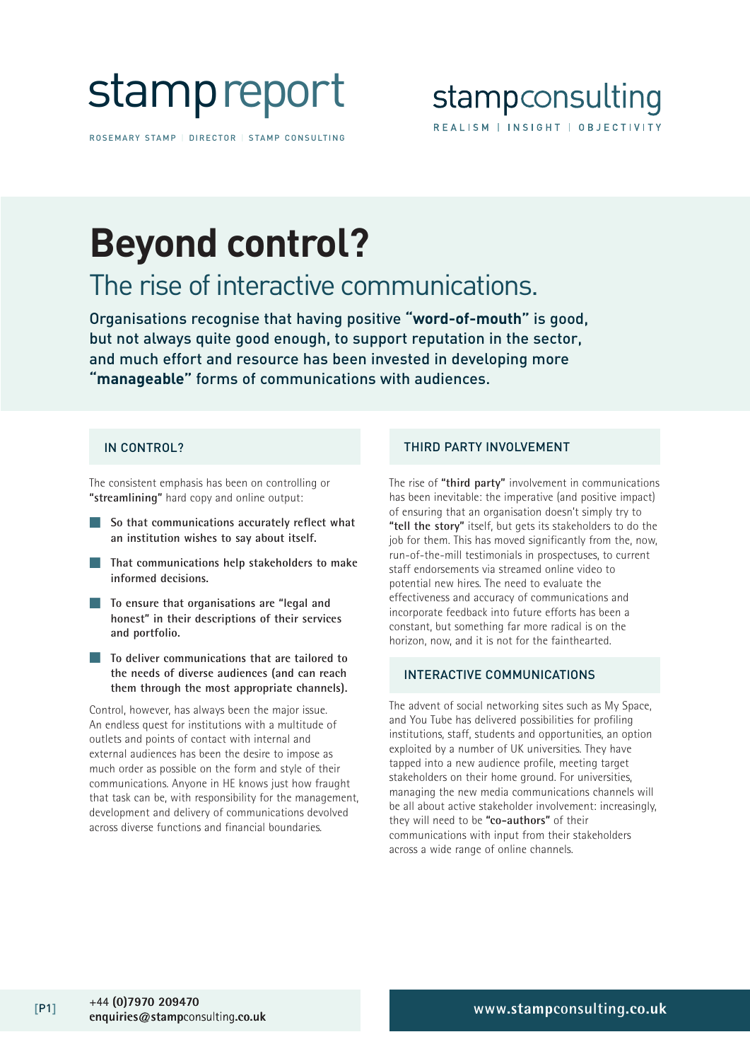# stampreport

ROSEMARY STAMP | DIRECTOR | STAMP CONSULTING

### stampconsulting REALISM | INSIGHT | OBJECTIVITY

## **Beyond control?**

### The rise of interactive communications.

Organisations recognise that having positive **"word-of-mouth"** is good, but not always quite good enough, to support reputation in the sector, and much effort and resource has been invested in developing more **"manageable"** forms of communications with audiences.

The consistent emphasis has been on controlling or **"streamlining"** hard copy and online output:

- So that communications accurately reflect what **an institution wishes to say about itself.**
- **That communications help stakeholders to make informed decisions.**
- **To ensure that organisations are "legal and honest" in their descriptions of their services and portfolio.**
- **To deliver communications that are tailored to the needs of diverse audiences (and can reach them through the most appropriate channels).**

Control, however, has always been the major issue. An endless quest for institutions with a multitude of outlets and points of contact with internal and external audiences has been the desire to impose as much order as possible on the form and style of their communications. Anyone in HE knows just how fraught that task can be, with responsibility for the management, development and delivery of communications devolved across diverse functions and financial boundaries.

### IN CONTROL? THIRD PARTY INVOLVEMENT

The rise of **"third party"** involvement in communications has been inevitable: the imperative (and positive impact) of ensuring that an organisation doesn't simply try to **"tell the story"** itself, but gets its stakeholders to do the job for them. This has moved significantly from the, now, run-of-the-mill testimonials in prospectuses, to current staff endorsements via streamed online video to potential new hires. The need to evaluate the effectiveness and accuracy of communications and incorporate feedback into future efforts has been a constant, but something far more radical is on the horizon, now, and it is not for the fainthearted.

#### INTERACTIVE COMMUNICATIONS

The advent of social networking sites such as My Space, and You Tube has delivered possibilities for profiling institutions, staff, students and opportunities, an option exploited by a number of UK universities. They have tapped into a new audience profile, meeting target stakeholders on their home ground. For universities, managing the new media communications channels will be all about active stakeholder involvement: increasingly, they will need to be **"co-authors"** of their communications with input from their stakeholders across a wide range of online channels.